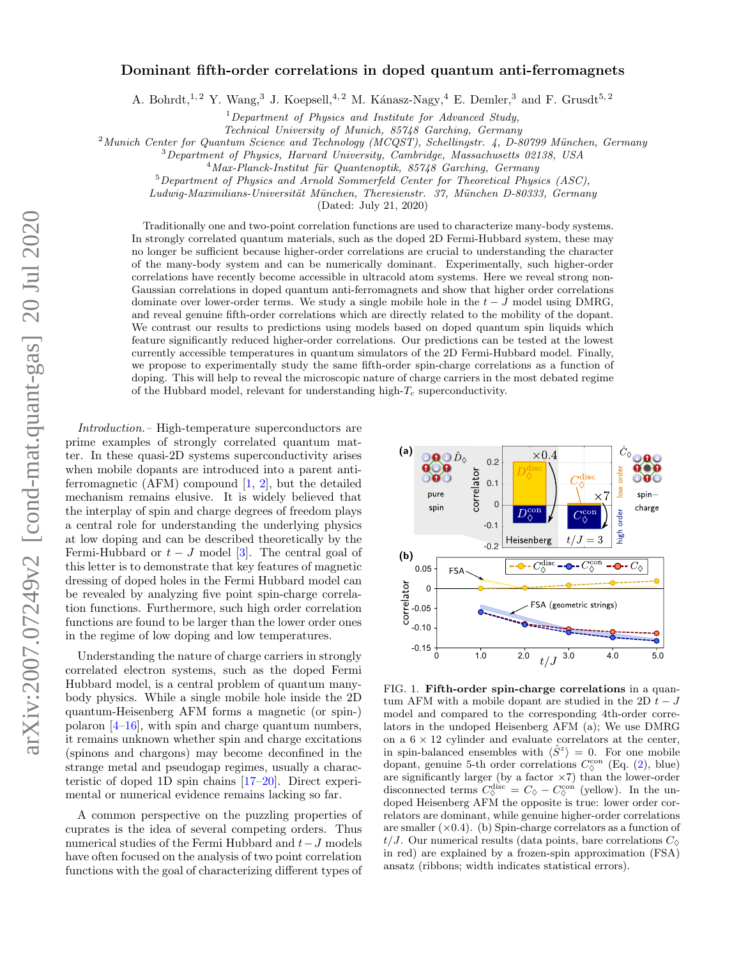## Dominant fifth-order correlations in doped quantum anti-ferromagnets

A. Bohrdt,<sup>1,2</sup> Y. Wang,<sup>3</sup> J. Koepsell,<sup>4,2</sup> M. Kánasz-Nagy,<sup>4</sup> E. Demler,<sup>3</sup> and F. Grusdt<sup>5,2</sup>

 $1$  Department of Physics and Institute for Advanced Study,

Technical University of Munich, 85748 Garching, Germany

 $^{2}$ Munich Center for Quantum Science and Technology (MCQST), Schellingstr. 4, D-80799 München, Germany

<sup>3</sup>Department of Physics, Harvard University, Cambridge, Massachusetts 02138, USA

 $^{4}$ Max-Planck-Institut für Quantenoptik, 85748 Garching, Germany

<sup>5</sup>Department of Physics and Arnold Sommerfeld Center for Theoretical Physics (ASC),

Ludwig-Maximilians-Universität München, Theresienstr. 37, München D-80333, Germany

(Dated: July 21, 2020)

Traditionally one and two-point correlation functions are used to characterize many-body systems. In strongly correlated quantum materials, such as the doped 2D Fermi-Hubbard system, these may no longer be sufficient because higher-order correlations are crucial to understanding the character of the many-body system and can be numerically dominant. Experimentally, such higher-order correlations have recently become accessible in ultracold atom systems. Here we reveal strong non-Gaussian correlations in doped quantum anti-ferromagnets and show that higher order correlations dominate over lower-order terms. We study a single mobile hole in the  $t-J$  model using DMRG, and reveal genuine fifth-order correlations which are directly related to the mobility of the dopant. We contrast our results to predictions using models based on doped quantum spin liquids which feature significantly reduced higher-order correlations. Our predictions can be tested at the lowest currently accessible temperatures in quantum simulators of the 2D Fermi-Hubbard model. Finally, we propose to experimentally study the same fifth-order spin-charge correlations as a function of doping. This will help to reveal the microscopic nature of charge carriers in the most debated regime of the Hubbard model, relevant for understanding high- $T_c$  superconductivity.

Introduction.– High-temperature superconductors are prime examples of strongly correlated quantum matter. In these quasi-2D systems superconductivity arises when mobile dopants are introduced into a parent antiferromagnetic (AFM) compound  $[1, 2]$  $[1, 2]$  $[1, 2]$ , but the detailed mechanism remains elusive. It is widely believed that the interplay of spin and charge degrees of freedom plays a central role for understanding the underlying physics at low doping and can be described theoretically by the Fermi-Hubbard or  $t - J$  model [\[3\]](#page-4-2). The central goal of this letter is to demonstrate that key features of magnetic dressing of doped holes in the Fermi Hubbard model can be revealed by analyzing five point spin-charge correlation functions. Furthermore, such high order correlation functions are found to be larger than the lower order ones in the regime of low doping and low temperatures.

Understanding the nature of charge carriers in strongly correlated electron systems, such as the doped Fermi Hubbard model, is a central problem of quantum manybody physics. While a single mobile hole inside the 2D quantum-Heisenberg AFM forms a magnetic (or spin-) polaron [\[4](#page-4-3)[–16\]](#page-5-0), with spin and charge quantum numbers, it remains unknown whether spin and charge excitations (spinons and chargons) may become deconfined in the strange metal and pseudogap regimes, usually a characteristic of doped 1D spin chains [\[17–](#page-5-1)[20\]](#page-5-2). Direct experimental or numerical evidence remains lacking so far.

A common perspective on the puzzling properties of cuprates is the idea of several competing orders. Thus numerical studies of the Fermi Hubbard and  $t-J$  models have often focused on the analysis of two point correlation functions with the goal of characterizing different types of



<span id="page-0-0"></span>FIG. 1. Fifth-order spin-charge correlations in a quantum AFM with a mobile dopant are studied in the 2D  $t-J$ model and compared to the corresponding 4th-order correlators in the undoped Heisenberg AFM (a); We use DMRG on a  $6 \times 12$  cylinder and evaluate correlators at the center, in spin-balanced ensembles with  $\langle \hat{S}^z \rangle = 0$ . For one mobile dopant, genuine 5-th order correlations  $C_{\varphi}^{\text{con}}$  (Eq. [\(2\)](#page-1-0), blue) are significantly larger (by a factor  $\times 7$ ) than the lower-order disconnected terms  $C_{\lozenge}^{\text{disc}} = C_{\lozenge} - C_{\lozenge}^{\text{con}}$  (yellow). In the undoped Heisenberg AFM the opposite is true: lower order correlators are dominant, while genuine higher-order correlations are smaller  $(\times 0.4)$ . (b) Spin-charge correlators as a function of  $t/J$ . Our numerical results (data points, bare correlations  $C_{\lozenge}$ in red) are explained by a frozen-spin approximation (FSA) ansatz (ribbons; width indicates statistical errors).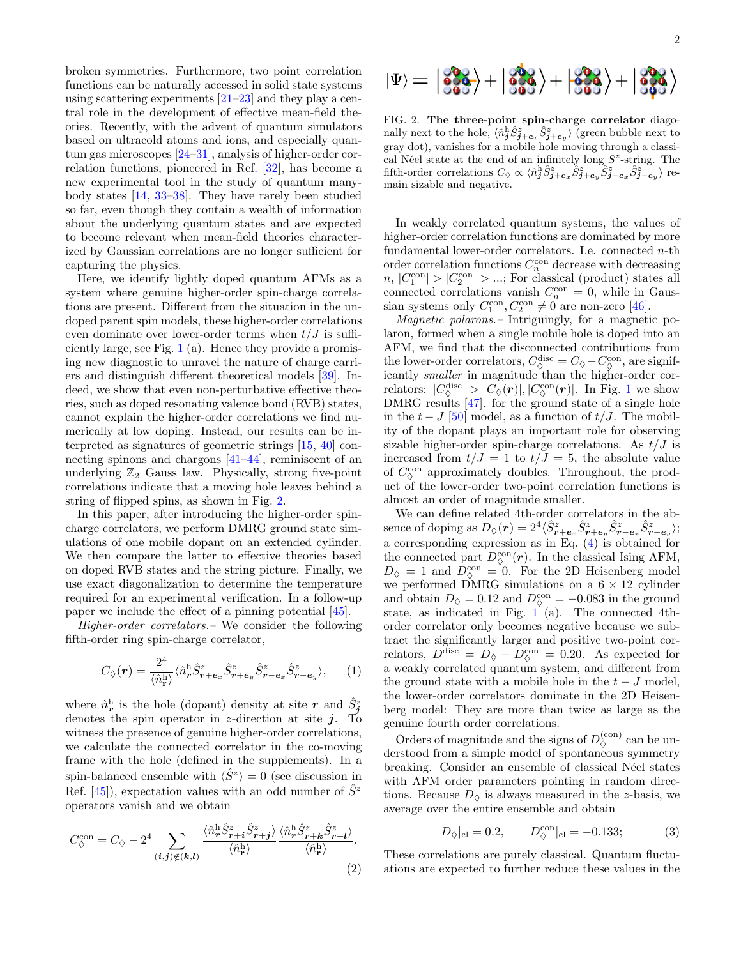broken symmetries. Furthermore, two point correlation functions can be naturally accessed in solid state systems using scattering experiments [\[21](#page-5-3)[–23\]](#page-5-4) and they play a central role in the development of effective mean-field theories. Recently, with the advent of quantum simulators based on ultracold atoms and ions, and especially quantum gas microscopes [\[24](#page-5-5)[–31\]](#page-5-6), analysis of higher-order correlation functions, pioneered in Ref. [\[32\]](#page-5-7), has become a new experimental tool in the study of quantum manybody states [\[14,](#page-5-8) [33–](#page-5-9)[38\]](#page-5-10). They have rarely been studied so far, even though they contain a wealth of information about the underlying quantum states and are expected to become relevant when mean-field theories characterized by Gaussian correlations are no longer sufficient for capturing the physics.

Here, we identify lightly doped quantum AFMs as a system where genuine higher-order spin-charge correlations are present. Different from the situation in the undoped parent spin models, these higher-order correlations even dominate over lower-order terms when  $t/J$  is sufficiently large, see Fig. [1](#page-0-0) (a). Hence they provide a promising new diagnostic to unravel the nature of charge carriers and distinguish different theoretical models [\[39\]](#page-5-11). Indeed, we show that even non-perturbative effective theories, such as doped resonating valence bond (RVB) states, cannot explain the higher-order correlations we find numerically at low doping. Instead, our results can be interpreted as signatures of geometric strings [\[15,](#page-5-12) [40\]](#page-5-13) connecting spinons and chargons [\[41](#page-6-0)[–44\]](#page-6-1), reminiscent of an underlying  $\mathbb{Z}_2$  Gauss law. Physically, strong five-point correlations indicate that a moving hole leaves behind a string of flipped spins, as shown in Fig. [2.](#page-1-1)

In this paper, after introducing the higher-order spincharge correlators, we perform DMRG ground state simulations of one mobile dopant on an extended cylinder. We then compare the latter to effective theories based on doped RVB states and the string picture. Finally, we use exact diagonalization to determine the temperature required for an experimental verification. In a follow-up paper we include the effect of a pinning potential [\[45\]](#page-6-2).

Higher-order correlators.– We consider the following fifth-order ring spin-charge correlator,

$$
C_{\diamondsuit}(\boldsymbol{r}) = \frac{2^4}{\langle \hat{n}_{\mathbf{r}}^{\mathrm{h}} \rangle} \langle \hat{n}_{\boldsymbol{r}}^{\mathrm{h}} \hat{S}_{\boldsymbol{r}+\boldsymbol{e}_x}^z \hat{S}_{\boldsymbol{r}+\boldsymbol{e}_y}^z \hat{S}_{\boldsymbol{r}-\boldsymbol{e}_x}^z \hat{S}_{\boldsymbol{r}-\boldsymbol{e}_y}^z \rangle, \qquad (1)
$$

where  $\hat{n}_r^{\rm h}$  is the hole (dopant) density at site  $r$  and  $\hat{S}_{\tilde{j}}^z$ denotes the spin operator in z-direction at site  $j$ . To witness the presence of genuine higher-order correlations, we calculate the connected correlator in the co-moving frame with the hole (defined in the supplements). In a spin-balanced ensemble with  $\langle \hat{S}^z \rangle = 0$  (see discussion in Ref.  $[45]$ , expectation values with an odd number of  $S<sup>z</sup>$ operators vanish and we obtain

$$
C_{\diamondsuit}^{\rm con} = C_{\diamondsuit} - 2^4 \sum_{(i,j)\notin(k,l)} \frac{\langle \hat{n}_r^{\rm h} \hat{S}_{r+i}^z \hat{S}_{r+j}^z \rangle}{\langle \hat{n}_r^{\rm h} \rangle} \frac{\langle \hat{n}_r^{\rm h} \hat{S}_{r+k}^z \hat{S}_{r+l}^z \rangle}{\langle \hat{n}_r^{\rm h} \rangle}.
$$
\n(2)



<span id="page-1-1"></span>FIG. 2. The three-point spin-charge correlator diagonally next to the hole,  $\langle \hat{n}_j^{\text{h}} \hat{S}_{j+e_x}^z \hat{S}_{j+e_y}^z \rangle$  (green bubble next to gray dot), vanishes for a mobile hole moving through a classical Néel state at the end of an infinitely long  $S^z$ -string. The fifth-order correlations  $C_{\lozenge} \propto \langle \hat{n}_\mathbf{j}^{\text{h}} \hat{S}_{\mathbf{j+e}_x}^z \hat{S}_{\mathbf{j+e}_y}^z \hat{S}_{\mathbf{j-e}_x}^z \hat{S}_{\mathbf{j-e}_y}^z \rangle$  remain sizable and negative.

In weakly correlated quantum systems, the values of higher-order correlation functions are dominated by more fundamental lower-order correlators. I.e. connected  $n$ -th order correlation functions  $C_n^{\text{con}}$  decrease with decreasing  $n, |C_1^{\text{con}}| > |C_2^{\text{con}}| > \dots;$  For classical (product) states all connected correlations vanish  $C_n^{\text{con}} = 0$ , while in Gaussian systems only  $C_1^{\text{con}}, C_2^{\text{con}} \neq 0$  are non-zero [\[46\]](#page-6-3).

Magnetic polarons.– Intriguingly, for a magnetic polaron, formed when a single mobile hole is doped into an AFM, we find that the disconnected contributions from the lower-order correlators,  $C_{\varphi}^{\text{disc}} = C_{\varphi} - C_{\varphi}^{\text{con}}$ , are significantly smaller in magnitude than the higher-order correlators:  $|C_{\Diamond}^{\text{disc}}| > |C_{\Diamond}(\boldsymbol{r})|, |C_{\Diamond}^{\text{con}}(\boldsymbol{r})|$ . In Fig. [1](#page-0-0) we show DMRG results [\[47\]](#page-6-4). for the ground state of a single hole in the  $t - J$  [\[50\]](#page-6-5) model, as a function of  $t/J$ . The mobility of the dopant plays an important role for observing sizable higher-order spin-charge correlations. As  $t/J$  is increased from  $t/J = 1$  to  $t/J = 5$ , the absolute value of  $C_{\lozenge}^{\rm con}$  approximately doubles. Throughout, the product of the lower-order two-point correlation functions is almost an order of magnitude smaller.

We can define related 4th-order correlators in the absence of doping as  $D_{\Diamond}(\boldsymbol{r}) = 2^4 \langle \hat{S}^z_{\boldsymbol{r}+\boldsymbol{e}_x} \hat{S}^z_{\boldsymbol{r}+\boldsymbol{e}_y} \hat{S}^z_{\boldsymbol{r}-\boldsymbol{e}_x} \hat{S}^z_{\boldsymbol{r}-\boldsymbol{e}_y} \rangle;$ a corresponding expression as in Eq. [\(4\)](#page-4-4) is obtained for the connected part  $D_{\Diamond}^{\text{con}}(\mathbf{r})$ . In the classical Ising AFM,  $D_{\lozenge} = 1$  and  $D_{\lozenge}^{\rm con} = 0$ . For the 2D Heisenberg model we performed DMRG simulations on a  $6 \times 12$  cylinder and obtain  $D_{\Diamond} = 0.12$  and  $D_{\Diamond}^{\text{con}} = -0.083$  in the ground state, as indicated in Fig. [1](#page-0-0) (a). The connected 4thorder correlator only becomes negative because we subtract the significantly larger and positive two-point correlators,  $D^{\text{disc}} = D_{\lozenge} - D^{\text{con}}_{\lozenge} = 0.20$ . As expected for a weakly correlated quantum system, and different from the ground state with a mobile hole in the  $t-J$  model, the lower-order correlators dominate in the 2D Heisenberg model: They are more than twice as large as the genuine fourth order correlations.

Orders of magnitude and the signs of  $D_{\Diamond}^{(\text{con})}$  can be understood from a simple model of spontaneous symmetry breaking. Consider an ensemble of classical Néel states with AFM order parameters pointing in random directions. Because  $D_{\Diamond}$  is always measured in the z-basis, we average over the entire ensemble and obtain

$$
D_{\diamondsuit}|_{\text{cl}} = 0.2, \qquad D_{\diamondsuit}^{\text{con}}|_{\text{cl}} = -0.133; \tag{3}
$$

<span id="page-1-0"></span>These correlations are purely classical. Quantum fluctuations are expected to further reduce these values in the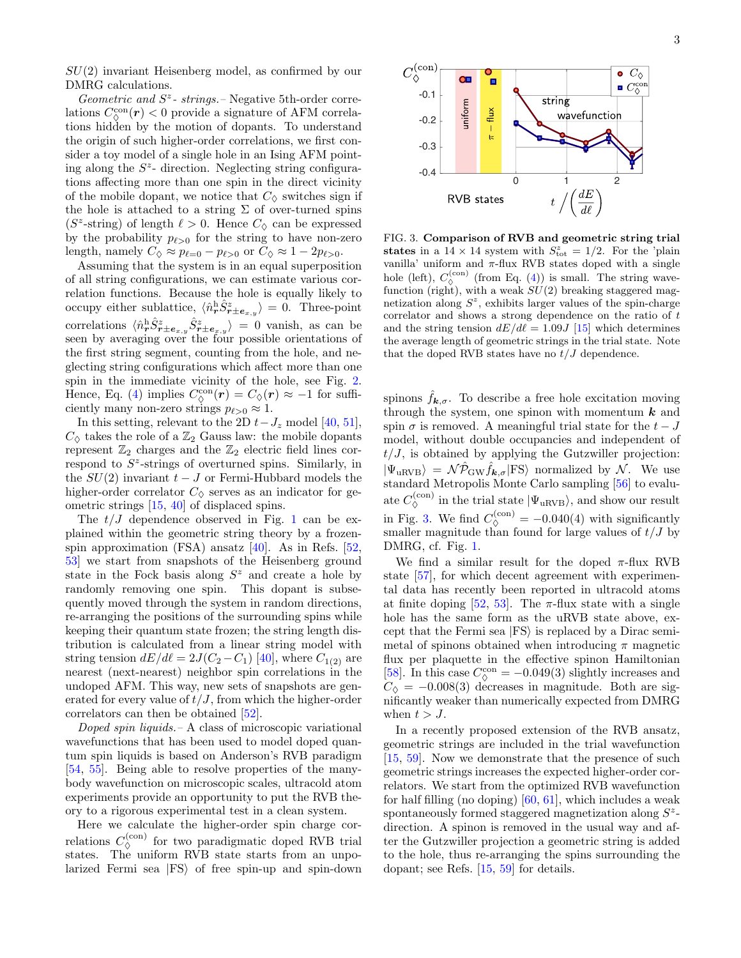$SU(2)$  invariant Heisenberg model, as confirmed by our DMRG calculations.

Geometric and  $S^z$ - strings. – Negative 5th-order correlations  $C_{\Diamond}^{\rm con}(\boldsymbol{r}) < 0$  provide a signature of AFM correlations hidden by the motion of dopants. To understand the origin of such higher-order correlations, we first consider a toy model of a single hole in an Ising AFM pointing along the  $S<sup>z</sup>$ - direction. Neglecting string configurations affecting more than one spin in the direct vicinity of the mobile dopant, we notice that  $C_{\lozenge}$  switches sign if the hole is attached to a string  $\Sigma$  of over-turned spins ( $S^z$ -string) of length  $\ell > 0$ . Hence  $C_{\lozenge}$  can be expressed by the probability  $p_{\ell>0}$  for the string to have non-zero length, namely  $C_{\Diamond} \approx p_{\ell=0} - p_{\ell>0}$  or  $C_{\Diamond} \approx 1 - 2p_{\ell>0}$ .

Assuming that the system is in an equal superposition of all string configurations, we can estimate various correlation functions. Because the hole is equally likely to occupy either sublattice,  $\langle \hat{n}^{\text{h}}_{\bm{r}} \hat{S}^z_{\bm{r} \pm \bm{e}_{x,y}} \rangle = 0$ . Three-point correlations  $\langle \hat{n}^{\text{h}}_{\bm{r}} \hat{S}^z_{\bm{r} \pm \bm{e}_{x,y}} \hat{S}^z_{\bm{r} \pm \bm{e}_{x,y}} \rangle = 0$  vanish, as can be seen by averaging over the four possible orientations of the first string segment, counting from the hole, and neglecting string configurations which affect more than one spin in the immediate vicinity of the hole, see Fig. [2.](#page-1-1) Hence, Eq. [\(4\)](#page-4-4) implies  $C_{\Diamond}^{\rm con}(\mathbf{r}) = C_{\Diamond}(\mathbf{r}) \approx -1$  for sufficiently many non-zero strings  $p_{\ell>0} \approx 1$ .

In this setting, relevant to the 2D  $t-J_z$  model [\[40,](#page-5-13) [51\]](#page-6-6),  $C_{\lozenge}$  takes the role of a  $\mathbb{Z}_2$  Gauss law: the mobile dopants represent  $\mathbb{Z}_2$  charges and the  $\mathbb{Z}_2$  electric field lines correspond to  $S^z$ -strings of overturned spins. Similarly, in the  $SU(2)$  invariant  $t-J$  or Fermi-Hubbard models the higher-order correlator  $C_{\lozenge}$  serves as an indicator for geometric strings [\[15,](#page-5-12) [40\]](#page-5-13) of displaced spins.

The  $t/J$  dependence observed in Fig. [1](#page-0-0) can be explained within the geometric string theory by a frozenspin approximation (FSA) ansatz [\[40\]](#page-5-13). As in Refs. [\[52,](#page-6-7) [53\]](#page-6-8) we start from snapshots of the Heisenberg ground state in the Fock basis along  $S^z$  and create a hole by randomly removing one spin. This dopant is subsequently moved through the system in random directions, re-arranging the positions of the surrounding spins while keeping their quantum state frozen; the string length distribution is calculated from a linear string model with string tension  $dE/d\ell = 2J(C_2 - C_1)$  [\[40\]](#page-5-13), where  $C_{1(2)}$  are nearest (next-nearest) neighbor spin correlations in the undoped AFM. This way, new sets of snapshots are generated for every value of  $t/J$ , from which the higher-order correlators can then be obtained [\[52\]](#page-6-7).

Doped spin liquids. – A class of microscopic variational wavefunctions that has been used to model doped quantum spin liquids is based on Anderson's RVB paradigm [\[54,](#page-6-9) [55\]](#page-6-10). Being able to resolve properties of the manybody wavefunction on microscopic scales, ultracold atom experiments provide an opportunity to put the RVB theory to a rigorous experimental test in a clean system.

Here we calculate the higher-order spin charge correlations  $C_{\lozenge}^{(\text{con})}$  for two paradigmatic doped RVB trial states. The uniform RVB state starts from an unpolarized Fermi sea  $|FS\rangle$  of free spin-up and spin-down



<span id="page-2-0"></span>FIG. 3. Comparison of RVB and geometric string trial states in a  $14 \times 14$  system with  $S_{\text{tot}}^z = 1/2$ . For the 'plain vanilla' uniform and π-flux RVB states doped with a single hole (left),  $C_{\lozenge}^{(\text{con})}$  (from Eq. [\(4\)](#page-4-4)) is small. The string wavefunction (right), with a weak  $SU(2)$  breaking staggered magnetization along  $S^z$ , exhibits larger values of the spin-charge correlator and shows a strong dependence on the ratio of t and the string tension  $dE/d\ell = 1.09J$  [\[15\]](#page-5-12) which determines the average length of geometric strings in the trial state. Note that the doped RVB states have no  $t/J$  dependence.

spinons  $\hat{f}_{\mathbf{k},\sigma}$ . To describe a free hole excitation moving through the system, one spinon with momentum  $k$  and spin  $\sigma$  is removed. A meaningful trial state for the  $t - J$ model, without double occupancies and independent of  $t/J$ , is obtained by applying the Gutzwiller projection:  $|\Psi_{\text{uRVB}}\rangle = \mathcal{N}\hat{\mathcal{P}}_{\text{GW}}\hat{f}_{\mathbf{k},\sigma}$  FS normalized by N. We use standard Metropolis Monte Carlo sampling [\[56\]](#page-6-11) to evaluate  $C_{\lozenge}^{(\text{con})}$  in the trial state  $|\Psi_{\text{uRVB}}\rangle$ , and show our result in Fig. [3.](#page-2-0) We find  $C_{\odot}^{(\text{con})} = -0.040(4)$  with significantly smaller magnitude than found for large values of  $t/J$  by DMRG, cf. Fig. [1.](#page-0-0)

We find a similar result for the doped  $\pi$ -flux RVB state [\[57\]](#page-6-12), for which decent agreement with experimental data has recently been reported in ultracold atoms at finite doping [\[52,](#page-6-7) [53\]](#page-6-8). The  $\pi$ -flux state with a single hole has the same form as the uRVB state above, except that the Fermi sea  $|FS\rangle$  is replaced by a Dirac semimetal of spinons obtained when introducing  $\pi$  magnetic flux per plaquette in the effective spinon Hamiltonian [\[58\]](#page-6-13). In this case  $C_{\odot}^{\rm con} = -0.049(3)$  slightly increases and  $C_{\lozenge} = -0.008(3)$  decreases in magnitude. Both are significantly weaker than numerically expected from DMRG when  $t > J$ .

In a recently proposed extension of the RVB ansatz, geometric strings are included in the trial wavefunction [\[15,](#page-5-12) [59\]](#page-6-14). Now we demonstrate that the presence of such geometric strings increases the expected higher-order correlators. We start from the optimized RVB wavefunction for half filling (no doping) [\[60,](#page-6-15) [61\]](#page-6-16), which includes a weak spontaneously formed staggered magnetization along  $S^z$ direction. A spinon is removed in the usual way and after the Gutzwiller projection a geometric string is added to the hole, thus re-arranging the spins surrounding the dopant; see Refs. [\[15,](#page-5-12) [59\]](#page-6-14) for details.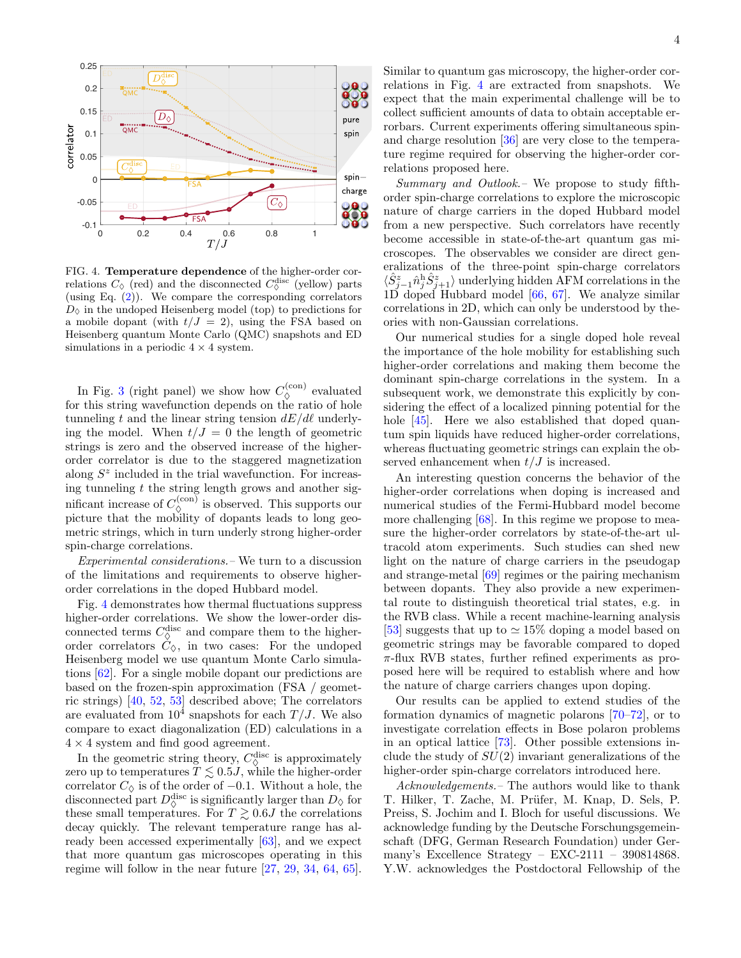

<span id="page-3-0"></span>FIG. 4. Temperature dependence of the higher-order correlations  $C_{\lozenge}$  (red) and the disconnected  $C_{\lozenge}^{\text{disc}}$  (yellow) parts (using Eq.  $(2)$ ). We compare the corresponding correlators  $D_{\lozenge}$  in the undoped Heisenberg model (top) to predictions for a mobile dopant (with  $t/J = 2$ ), using the FSA based on Heisenberg quantum Monte Carlo (QMC) snapshots and ED simulations in a periodic  $4 \times 4$  system.

In Fig. [3](#page-2-0) (right panel) we show how  $C_{\lozenge}^{(\text{con})}$  evaluated for this string wavefunction depends on the ratio of hole tunneling t and the linear string tension  $dE/d\ell$  underlying the model. When  $t/J = 0$  the length of geometric strings is zero and the observed increase of the higherorder correlator is due to the staggered magnetization along  $S<sup>z</sup>$  included in the trial wavefunction. For increasing tunneling  $t$  the string length grows and another significant increase of  $C_{\lozenge}^{(\text{con})}$  is observed. This supports our picture that the mobility of dopants leads to long geometric strings, which in turn underly strong higher-order spin-charge correlations.

Experimental considerations.– We turn to a discussion of the limitations and requirements to observe higherorder correlations in the doped Hubbard model.

Fig. [4](#page-3-0) demonstrates how thermal fluctuations suppress higher-order correlations. We show the lower-order disconnected terms  $C_{\Diamond}^{\text{disc}}$  and compare them to the higherorder correlators  $C_{\lozenge}$ , in two cases: For the undoped Heisenberg model we use quantum Monte Carlo simulations [\[62\]](#page-6-17). For a single mobile dopant our predictions are based on the frozen-spin approximation (FSA / geometric strings) [\[40,](#page-5-13) [52,](#page-6-7) [53\]](#page-6-8) described above; The correlators are evaluated from  $10^4$  snapshots for each  $T/J$ . We also compare to exact diagonalization (ED) calculations in a  $4 \times 4$  system and find good agreement.

In the geometric string theory,  $C_{\Diamond}^{\text{disc}}$  is approximately zero up to temperatures  $T \lesssim 0.5J$ , while the higher-order correlator  $C_{\lozenge}$  is of the order of  $-0.1$ . Without a hole, the disconnected part  $D_{\Diamond}^{\text{disc}}$  is significantly larger than  $D_{\Diamond}$  for these small temperatures. For  $T \gtrsim 0.6J$  the correlations decay quickly. The relevant temperature range has already been accessed experimentally [\[63\]](#page-6-18), and we expect that more quantum gas microscopes operating in this regime will follow in the near future [\[27,](#page-5-14) [29,](#page-5-15) [34,](#page-5-16) [64,](#page-6-19) [65\]](#page-6-20).

4

Similar to quantum gas microscopy, the higher-order correlations in Fig. [4](#page-3-0) are extracted from snapshots. We expect that the main experimental challenge will be to collect sufficient amounts of data to obtain acceptable errorbars. Current experiments offering simultaneous spinand charge resolution [\[36\]](#page-5-17) are very close to the temperature regime required for observing the higher-order correlations proposed here.

Summary and Outlook.– We propose to study fifthorder spin-charge correlations to explore the microscopic nature of charge carriers in the doped Hubbard model from a new perspective. Such correlators have recently become accessible in state-of-the-art quantum gas microscopes. The observables we consider are direct generalizations of the three-point spin-charge correlators  $\langle \hat{S}_{j-1}^{z} \hat{n}_{j}^{\text{h}} \hat{S}_{j+1}^{z} \rangle$  underlying hidden AFM correlations in the 1D doped Hubbard model [\[66,](#page-6-21) [67\]](#page-6-22). We analyze similar correlations in 2D, which can only be understood by theories with non-Gaussian correlations.

Our numerical studies for a single doped hole reveal the importance of the hole mobility for establishing such higher-order correlations and making them become the dominant spin-charge correlations in the system. In a subsequent work, we demonstrate this explicitly by considering the effect of a localized pinning potential for the hole [\[45\]](#page-6-2). Here we also established that doped quantum spin liquids have reduced higher-order correlations, whereas fluctuating geometric strings can explain the observed enhancement when  $t/J$  is increased.

An interesting question concerns the behavior of the higher-order correlations when doping is increased and numerical studies of the Fermi-Hubbard model become more challenging  $[68]$ . In this regime we propose to measure the higher-order correlators by state-of-the-art ultracold atom experiments. Such studies can shed new light on the nature of charge carriers in the pseudogap and strange-metal [\[69\]](#page-6-24) regimes or the pairing mechanism between dopants. They also provide a new experimental route to distinguish theoretical trial states, e.g. in the RVB class. While a recent machine-learning analysis [\[53\]](#page-6-8) suggests that up to  $\simeq 15\%$  doping a model based on geometric strings may be favorable compared to doped  $\pi$ -flux RVB states, further refined experiments as proposed here will be required to establish where and how the nature of charge carriers changes upon doping.

Our results can be applied to extend studies of the formation dynamics of magnetic polarons [\[70–](#page-6-25)[72\]](#page-6-26), or to investigate correlation effects in Bose polaron problems in an optical lattice [\[73\]](#page-6-27). Other possible extensions include the study of  $SU(2)$  invariant generalizations of the higher-order spin-charge correlators introduced here.

Acknowledgements.– The authors would like to thank T. Hilker, T. Zache, M. Prüfer, M. Knap, D. Sels, P. Preiss, S. Jochim and I. Bloch for useful discussions. We acknowledge funding by the Deutsche Forschungsgemeinschaft (DFG, German Research Foundation) under Germany's Excellence Strategy – EXC-2111 – 390814868. Y.W. acknowledges the Postdoctoral Fellowship of the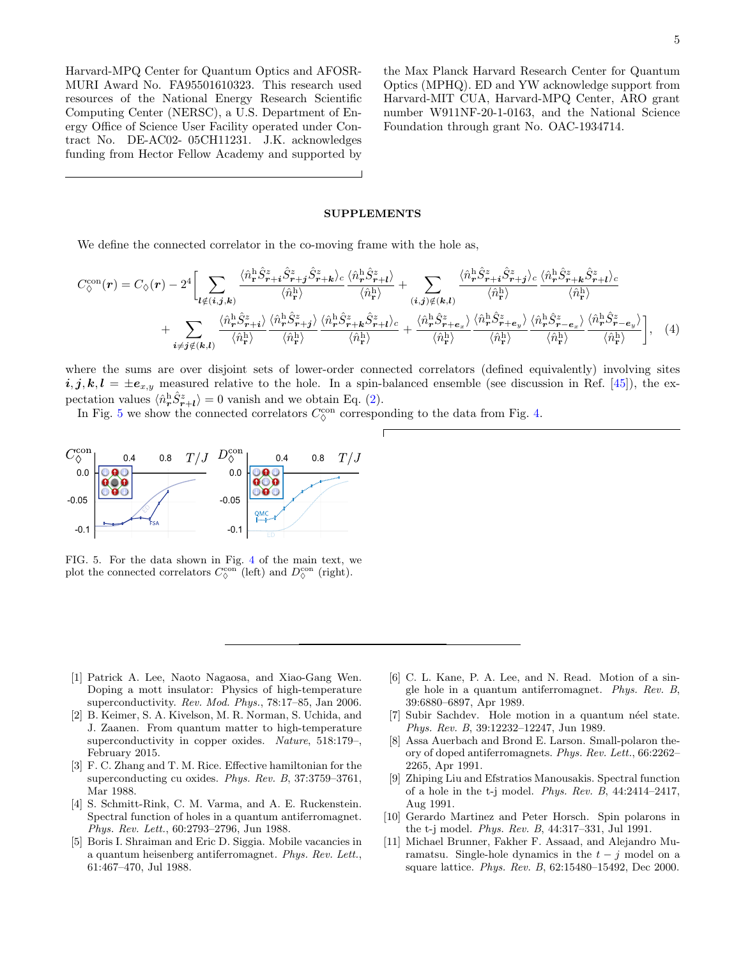Harvard-MPQ Center for Quantum Optics and AFOSR-MURI Award No. FA95501610323. This research used resources of the National Energy Research Scientific Computing Center (NERSC), a U.S. Department of Energy Office of Science User Facility operated under Contract No. DE-AC02- 05CH11231. J.K. acknowledges funding from Hector Fellow Academy and supported by

the Max Planck Harvard Research Center for Quantum Optics (MPHQ). ED and YW acknowledge support from Harvard-MIT CUA, Harvard-MPQ Center, ARO grant number W911NF-20-1-0163, and the National Science Foundation through grant No. OAC-1934714.

## <span id="page-4-4"></span>SUPPLEMENTS

We define the connected correlator in the co-moving frame with the hole as,

$$
C_{\Diamond}^{\text{con}}(\mathbf{r}) = C_{\Diamond}(\mathbf{r}) - 2^{4} \Biggl[ \sum_{\mathbf{l} \notin (i,j,k)} \frac{\langle \hat{n}_{\mathbf{r}}^{\text{h}} \hat{S}_{\mathbf{r}+i}^{z} \hat{S}_{\mathbf{r}+j}^{z} \rangle_{c} \langle \hat{n}_{\mathbf{r}}^{\text{h}} \hat{S}_{\mathbf{r}+i}^{z} \rangle}{\langle \hat{n}_{\mathbf{r}}^{\text{h}} \rangle} + \sum_{(i,j) \notin (k,l)} \frac{\langle \hat{n}_{\mathbf{r}}^{\text{h}} \hat{S}_{\mathbf{r}+i}^{z} \hat{S}_{\mathbf{r}+j}^{z} \rangle_{c} \langle \hat{n}_{\mathbf{r}}^{\text{h}} \rangle}{\langle \hat{n}_{\mathbf{r}}^{\text{h}} \rangle} + \sum_{(i,j) \notin (k,l)} \frac{\langle \hat{n}_{\mathbf{r}}^{\text{h}} \hat{S}_{\mathbf{r}+k}^{z} \hat{S}_{\mathbf{r}+k}^{z} \rangle_{c}}{\langle \hat{n}_{\mathbf{r}}^{\text{h}} \rangle} + \sum_{i \neq j \notin (k,l)} \frac{\langle \hat{n}_{\mathbf{r}}^{\text{h}} \hat{S}_{\mathbf{r}+i}^{z} \rangle}{\langle \hat{n}_{\mathbf{r}}^{\text{h}} \rangle} \frac{\langle \hat{n}_{\mathbf{r}}^{\text{h}} \hat{S}_{\mathbf{r}+j}^{z} \rangle}{\langle \hat{n}_{\mathbf{r}}^{\text{h}} \rangle} \frac{\langle \hat{n}_{\mathbf{r}}^{\text{h}} \hat{S}_{\mathbf{r}+k}^{z} \rangle}{\langle \hat{n}_{\mathbf{r}}^{\text{h}} \rangle} + \frac{\langle \hat{n}_{\mathbf{r}}^{\text{h}} \hat{S}_{\mathbf{r}+e_{x}}^{z} \rangle}{\langle \hat{n}_{\mathbf{r}}^{\text{h}} \rangle} \frac{\langle \hat{n}_{\mathbf{r}}^{\text{h}} \hat{S}_{\mathbf{r}+e_{x}}^{z} \rangle}{\langle \hat{n}_{\mathbf{r}}^{\text{h}} \rangle} \frac{\langle \hat{n}_{\mathbf{r}}^{\text{h}} \hat{S}_{\mathbf{r}+e_{x}}^{z} \rangle}{\langle \hat{n}_{\mathbf{r
$$

where the sums are over disjoint sets of lower-order connected correlators (defined equivalently) involving sites  $i, j, k, l = \pm e_{x,y}$  measured relative to the hole. In a spin-balanced ensemble (see discussion in Ref. [\[45\]](#page-6-2)), the expectation values  $\langle \hat{n}_{\bm{r}}^{\rm h} \hat{S}_{\bm{r}+\bm{l}}^z \rangle = 0$  vanish and we obtain Eq. [\(2\)](#page-1-0).

In Fig. [5](#page-4-5) we show the connected correlators  $C_{\diamond}^{\rm con}$  corresponding to the data from Fig. [4.](#page-3-0)



<span id="page-4-5"></span>FIG. 5. For the data shown in Fig. [4](#page-3-0) of the main text, we plot the connected correlators  $C_{\lozenge}^{\rm con}$  (left) and  $D_{\lozenge}^{\rm con}$  (right).

- <span id="page-4-0"></span>[1] Patrick A. Lee, Naoto Nagaosa, and Xiao-Gang Wen. Doping a mott insulator: Physics of high-temperature superconductivity. Rev. Mod. Phys., 78:17–85, Jan 2006.
- <span id="page-4-1"></span>[2] B. Keimer, S. A. Kivelson, M. R. Norman, S. Uchida, and J. Zaanen. From quantum matter to high-temperature superconductivity in copper oxides. Nature, 518:179–, February 2015.
- <span id="page-4-2"></span>[3] F. C. Zhang and T. M. Rice. Effective hamiltonian for the superconducting cu oxides. Phys. Rev. B, 37:3759–3761, Mar 1988.
- <span id="page-4-3"></span>[4] S. Schmitt-Rink, C. M. Varma, and A. E. Ruckenstein. Spectral function of holes in a quantum antiferromagnet. Phys. Rev. Lett., 60:2793–2796, Jun 1988.
- [5] Boris I. Shraiman and Eric D. Siggia. Mobile vacancies in a quantum heisenberg antiferromagnet. Phys. Rev. Lett., 61:467–470, Jul 1988.
- [6] C. L. Kane, P. A. Lee, and N. Read. Motion of a single hole in a quantum antiferromagnet. Phys. Rev. B, 39:6880–6897, Apr 1989.
- [7] Subir Sachdev. Hole motion in a quantum néel state. Phys. Rev. B, 39:12232–12247, Jun 1989.
- [8] Assa Auerbach and Brond E. Larson. Small-polaron theory of doped antiferromagnets. Phys. Rev. Lett., 66:2262– 2265, Apr 1991.
- [9] Zhiping Liu and Efstratios Manousakis. Spectral function of a hole in the t-j model. Phys. Rev. B, 44:2414–2417, Aug 1991.
- [10] Gerardo Martinez and Peter Horsch. Spin polarons in the t-j model. Phys. Rev. B, 44:317–331, Jul 1991.
- [11] Michael Brunner, Fakher F. Assaad, and Alejandro Muramatsu. Single-hole dynamics in the  $t - j$  model on a square lattice. Phys. Rev. B, 62:15480–15492, Dec 2000.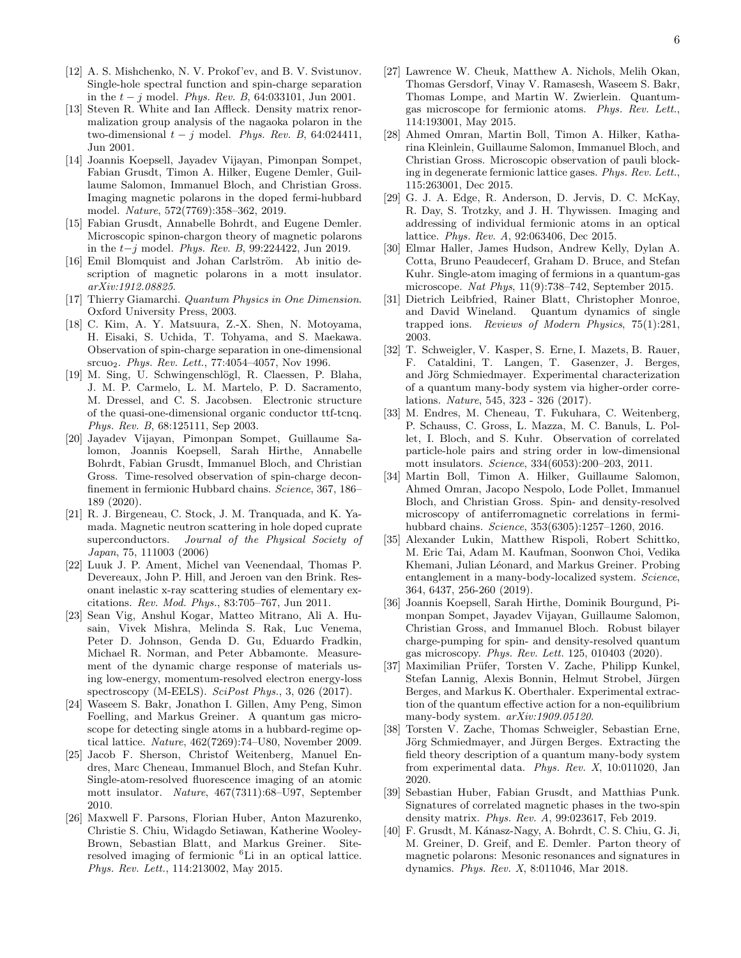- [12] A. S. Mishchenko, N. V. Prokof'ev, and B. V. Svistunov. Single-hole spectral function and spin-charge separation in the  $t - j$  model. Phys. Rev. B, 64:033101, Jun 2001.
- [13] Steven R. White and Ian Affleck. Density matrix renormalization group analysis of the nagaoka polaron in the two-dimensional  $t - j$  model. Phys. Rev. B, 64:024411, Jun 2001.
- <span id="page-5-8"></span>[14] Joannis Koepsell, Jayadev Vijayan, Pimonpan Sompet, Fabian Grusdt, Timon A. Hilker, Eugene Demler, Guillaume Salomon, Immanuel Bloch, and Christian Gross. Imaging magnetic polarons in the doped fermi-hubbard model. Nature, 572(7769):358–362, 2019.
- <span id="page-5-12"></span>[15] Fabian Grusdt, Annabelle Bohrdt, and Eugene Demler. Microscopic spinon-chargon theory of magnetic polarons in the t−j model. Phys. Rev. B, 99:224422, Jun 2019.
- <span id="page-5-0"></span>[16] Emil Blomquist and Johan Carlström. Ab initio description of magnetic polarons in a mott insulator. arXiv:1912.08825.
- <span id="page-5-1"></span>[17] Thierry Giamarchi. Quantum Physics in One Dimension. Oxford University Press, 2003.
- [18] C. Kim, A. Y. Matsuura, Z.-X. Shen, N. Motoyama, H. Eisaki, S. Uchida, T. Tohyama, and S. Maekawa. Observation of spin-charge separation in one-dimensional srcuo2. Phys. Rev. Lett., 77:4054–4057, Nov 1996.
- [19] M. Sing, U. Schwingenschlögl, R. Claessen, P. Blaha, J. M. P. Carmelo, L. M. Martelo, P. D. Sacramento, M. Dressel, and C. S. Jacobsen. Electronic structure of the quasi-one-dimensional organic conductor ttf-tcnq. Phys. Rev. B, 68:125111, Sep 2003.
- <span id="page-5-2"></span>[20] Jayadev Vijayan, Pimonpan Sompet, Guillaume Salomon, Joannis Koepsell, Sarah Hirthe, Annabelle Bohrdt, Fabian Grusdt, Immanuel Bloch, and Christian Gross. Time-resolved observation of spin-charge deconfinement in fermionic Hubbard chains. Science, 367, 186– 189 (2020).
- <span id="page-5-3"></span>[21] R. J. Birgeneau, C. Stock, J. M. Tranquada, and K. Yamada. Magnetic neutron scattering in hole doped cuprate superconductors. Journal of the Physical Society of Japan, 75, 111003 (2006)
- [22] Luuk J. P. Ament, Michel van Veenendaal, Thomas P. Devereaux, John P. Hill, and Jeroen van den Brink. Resonant inelastic x-ray scattering studies of elementary excitations. Rev. Mod. Phys., 83:705–767, Jun 2011.
- <span id="page-5-4"></span>[23] Sean Vig, Anshul Kogar, Matteo Mitrano, Ali A. Husain, Vivek Mishra, Melinda S. Rak, Luc Venema, Peter D. Johnson, Genda D. Gu, Eduardo Fradkin, Michael R. Norman, and Peter Abbamonte. Measurement of the dynamic charge response of materials using low-energy, momentum-resolved electron energy-loss spectroscopy (M-EELS). SciPost Phys., 3, 026 (2017).
- <span id="page-5-5"></span>[24] Waseem S. Bakr, Jonathon I. Gillen, Amy Peng, Simon Foelling, and Markus Greiner. A quantum gas microscope for detecting single atoms in a hubbard-regime optical lattice. Nature, 462(7269):74–U80, November 2009.
- [25] Jacob F. Sherson, Christof Weitenberg, Manuel Endres, Marc Cheneau, Immanuel Bloch, and Stefan Kuhr. Single-atom-resolved fluorescence imaging of an atomic mott insulator. Nature, 467(7311):68–U97, September 2010.
- [26] Maxwell F. Parsons, Florian Huber, Anton Mazurenko, Christie S. Chiu, Widagdo Setiawan, Katherine Wooley-Brown, Sebastian Blatt, and Markus Greiner. Siteresolved imaging of fermionic <sup>6</sup>Li in an optical lattice. Phys. Rev. Lett., 114:213002, May 2015.
- <span id="page-5-14"></span>[27] Lawrence W. Cheuk, Matthew A. Nichols, Melih Okan, Thomas Gersdorf, Vinay V. Ramasesh, Waseem S. Bakr, Thomas Lompe, and Martin W. Zwierlein. Quantumgas microscope for fermionic atoms. Phys. Rev. Lett., 114:193001, May 2015.
- [28] Ahmed Omran, Martin Boll, Timon A. Hilker, Katharina Kleinlein, Guillaume Salomon, Immanuel Bloch, and Christian Gross. Microscopic observation of pauli blocking in degenerate fermionic lattice gases. Phys. Rev. Lett., 115:263001, Dec 2015.
- <span id="page-5-15"></span>[29] G. J. A. Edge, R. Anderson, D. Jervis, D. C. McKay, R. Day, S. Trotzky, and J. H. Thywissen. Imaging and addressing of individual fermionic atoms in an optical lattice. Phys. Rev. A, 92:063406, Dec 2015.
- [30] Elmar Haller, James Hudson, Andrew Kelly, Dylan A. Cotta, Bruno Peaudecerf, Graham D. Bruce, and Stefan Kuhr. Single-atom imaging of fermions in a quantum-gas microscope. Nat Phys, 11(9):738–742, September 2015.
- <span id="page-5-6"></span>[31] Dietrich Leibfried, Rainer Blatt, Christopher Monroe, and David Wineland. Quantum dynamics of single trapped ions. Reviews of Modern Physics, 75(1):281, 2003.
- <span id="page-5-7"></span>[32] T. Schweigler, V. Kasper, S. Erne, I. Mazets, B. Rauer, F. Cataldini, T. Langen, T. Gasenzer, J. Berges, and Jörg Schmiedmayer. Experimental characterization of a quantum many-body system via higher-order correlations. Nature, 545, 323 - 326 (2017).
- <span id="page-5-9"></span>[33] M. Endres, M. Cheneau, T. Fukuhara, C. Weitenberg, P. Schauss, C. Gross, L. Mazza, M. C. Banuls, L. Pollet, I. Bloch, and S. Kuhr. Observation of correlated particle-hole pairs and string order in low-dimensional mott insulators. Science, 334(6053):200–203, 2011.
- <span id="page-5-16"></span>[34] Martin Boll, Timon A. Hilker, Guillaume Salomon, Ahmed Omran, Jacopo Nespolo, Lode Pollet, Immanuel Bloch, and Christian Gross. Spin- and density-resolved microscopy of antiferromagnetic correlations in fermihubbard chains. Science, 353(6305):1257–1260, 2016.
- [35] Alexander Lukin, Matthew Rispoli, Robert Schittko, M. Eric Tai, Adam M. Kaufman, Soonwon Choi, Vedika Khemani, Julian Léonard, and Markus Greiner. Probing entanglement in a many-body-localized system. Science, 364, 6437, 256-260 (2019).
- <span id="page-5-17"></span>[36] Joannis Koepsell, Sarah Hirthe, Dominik Bourgund, Pimonpan Sompet, Jayadev Vijayan, Guillaume Salomon, Christian Gross, and Immanuel Bloch. Robust bilayer charge-pumping for spin- and density-resolved quantum gas microscopy. Phys. Rev. Lett. 125, 010403 (2020).
- [37] Maximilian Prüfer, Torsten V. Zache, Philipp Kunkel, Stefan Lannig, Alexis Bonnin, Helmut Strobel, Jürgen Berges, and Markus K. Oberthaler. Experimental extraction of the quantum effective action for a non-equilibrium many-body system. arXiv:1909.05120.
- <span id="page-5-10"></span>[38] Torsten V. Zache, Thomas Schweigler, Sebastian Erne, Jörg Schmiedmayer, and Jürgen Berges. Extracting the field theory description of a quantum many-body system from experimental data. Phys. Rev. X, 10:011020, Jan 2020.
- <span id="page-5-11"></span>[39] Sebastian Huber, Fabian Grusdt, and Matthias Punk. Signatures of correlated magnetic phases in the two-spin density matrix. Phys. Rev. A, 99:023617, Feb 2019.
- <span id="page-5-13"></span>[40] F. Grusdt, M. Kánasz-Nagy, A. Bohrdt, C. S. Chiu, G. Ji, M. Greiner, D. Greif, and E. Demler. Parton theory of magnetic polarons: Mesonic resonances and signatures in dynamics. Phys. Rev. X, 8:011046, Mar 2018.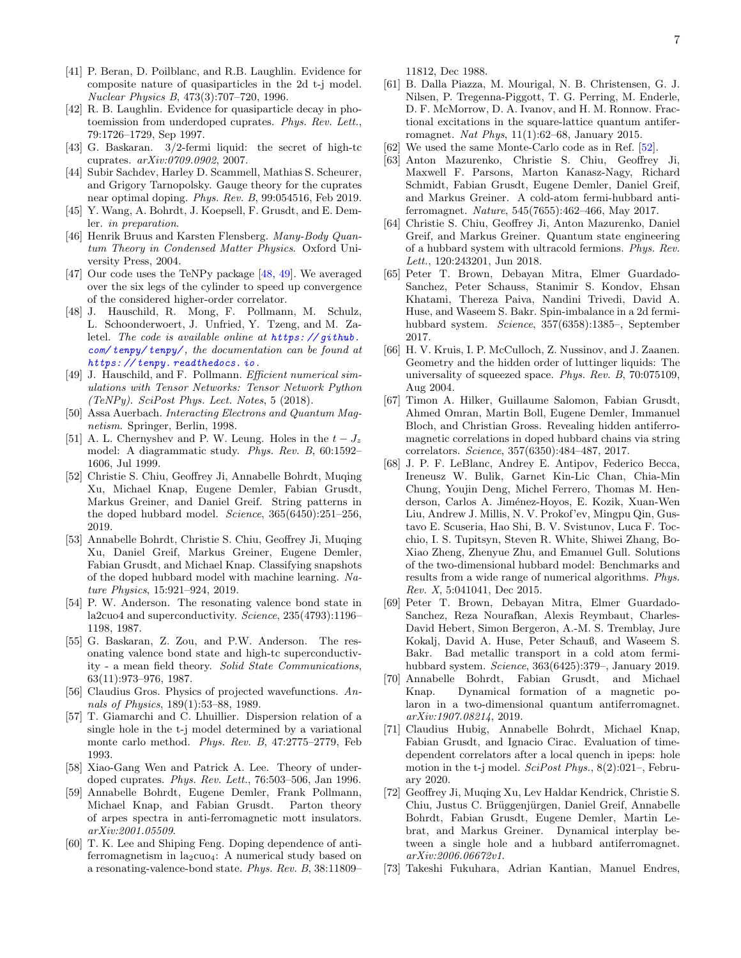- <span id="page-6-0"></span>[41] P. Beran, D. Poilblanc, and R.B. Laughlin. Evidence for composite nature of quasiparticles in the 2d t-j model. Nuclear Physics B, 473(3):707–720, 1996.
- [42] R. B. Laughlin. Evidence for quasiparticle decay in photoemission from underdoped cuprates. Phys. Rev. Lett., 79:1726–1729, Sep 1997.
- [43] G. Baskaran. 3/2-fermi liquid: the secret of high-tc cuprates. arXiv:0709.0902, 2007.
- <span id="page-6-1"></span>[44] Subir Sachdev, Harley D. Scammell, Mathias S. Scheurer, and Grigory Tarnopolsky. Gauge theory for the cuprates near optimal doping. Phys. Rev. B, 99:054516, Feb 2019.
- <span id="page-6-2"></span>[45] Y. Wang, A. Bohrdt, J. Koepsell, F. Grusdt, and E. Demler. in preparation.
- <span id="page-6-3"></span>[46] Henrik Bruus and Karsten Flensberg. Many-Body Quantum Theory in Condensed Matter Physics. Oxford University Press, 2004.
- <span id="page-6-4"></span>[47] Our code uses the TeNPy package [\[48,](#page-6-28) [49\]](#page-6-29). We averaged over the six legs of the cylinder to speed up convergence of the considered higher-order correlator.
- <span id="page-6-28"></span>[48] J. Hauschild, R. Mong, F. Pollmann, M. Schulz, L. Schoonderwoert, J. Unfried, Y. Tzeng, and M. Zaletel. The code is available online at  $https://github.$ [com/ tenpy/ tenpy/](https://github.com/tenpy/tenpy/) , the documentation can be found at [https: // tenpy. readthedocs. io](https://tenpy.readthedocs.io) .
- <span id="page-6-29"></span>[49] J. Hauschild, and F. Pollmann. Efficient numerical simulations with Tensor Networks: Tensor Network Python  $(TeNPy)$ . SciPost Phys. Lect. Notes, 5 (2018).
- <span id="page-6-5"></span>[50] Assa Auerbach. Interacting Electrons and Quantum Magnetism. Springer, Berlin, 1998.
- <span id="page-6-6"></span>[51] A. L. Chernyshev and P. W. Leung. Holes in the  $t-J_z$ model: A diagrammatic study. Phys. Rev. B, 60:1592– 1606, Jul 1999.
- <span id="page-6-7"></span>[52] Christie S. Chiu, Geoffrey Ji, Annabelle Bohrdt, Muqing Xu, Michael Knap, Eugene Demler, Fabian Grusdt, Markus Greiner, and Daniel Greif. String patterns in the doped hubbard model. Science, 365(6450):251–256, 2019.
- <span id="page-6-8"></span>[53] Annabelle Bohrdt, Christie S. Chiu, Geoffrey Ji, Muqing Xu, Daniel Greif, Markus Greiner, Eugene Demler, Fabian Grusdt, and Michael Knap. Classifying snapshots of the doped hubbard model with machine learning. Nature Physics, 15:921–924, 2019.
- <span id="page-6-9"></span>[54] P. W. Anderson. The resonating valence bond state in la2cuo4 and superconductivity. Science, 235(4793):1196– 1198, 1987.
- <span id="page-6-10"></span>[55] G. Baskaran, Z. Zou, and P.W. Anderson. The resonating valence bond state and high-tc superconductivity - a mean field theory. Solid State Communications, 63(11):973–976, 1987.
- <span id="page-6-11"></span>[56] Claudius Gros. Physics of projected wavefunctions. Annals of Physics, 189(1):53–88, 1989.
- <span id="page-6-12"></span>[57] T. Giamarchi and C. Lhuillier. Dispersion relation of a single hole in the t-j model determined by a variational monte carlo method. Phys. Rev. B, 47:2775–2779, Feb 1993.
- <span id="page-6-13"></span>[58] Xiao-Gang Wen and Patrick A. Lee. Theory of underdoped cuprates. Phys. Rev. Lett., 76:503–506, Jan 1996.
- <span id="page-6-14"></span>[59] Annabelle Bohrdt, Eugene Demler, Frank Pollmann, Michael Knap, and Fabian Grusdt. Parton theory of arpes spectra in anti-ferromagnetic mott insulators. arXiv:2001.05509.
- <span id="page-6-15"></span>[60] T. K. Lee and Shiping Feng. Doping dependence of antiferromagnetism in  $l$ a<sub>2</sub>cuo<sub>4</sub>: A numerical study based on a resonating-valence-bond state. Phys. Rev. B, 38:11809–

11812, Dec 1988.

- <span id="page-6-16"></span>[61] B. Dalla Piazza, M. Mourigal, N. B. Christensen, G. J. Nilsen, P. Tregenna-Piggott, T. G. Perring, M. Enderle, D. F. McMorrow, D. A. Ivanov, and H. M. Ronnow. Fractional excitations in the square-lattice quantum antiferromagnet. Nat Phys, 11(1):62–68, January 2015.
- <span id="page-6-17"></span>[62] We used the same Monte-Carlo code as in Ref. [\[52\]](#page-6-7).
- <span id="page-6-18"></span>[63] Anton Mazurenko, Christie S. Chiu, Geoffrey Ji, Maxwell F. Parsons, Marton Kanasz-Nagy, Richard Schmidt, Fabian Grusdt, Eugene Demler, Daniel Greif, and Markus Greiner. A cold-atom fermi-hubbard antiferromagnet. Nature, 545(7655):462–466, May 2017.
- <span id="page-6-19"></span>[64] Christie S. Chiu, Geoffrey Ji, Anton Mazurenko, Daniel Greif, and Markus Greiner. Quantum state engineering of a hubbard system with ultracold fermions. Phys. Rev. Lett., 120:243201, Jun 2018.
- <span id="page-6-20"></span>[65] Peter T. Brown, Debayan Mitra, Elmer Guardado-Sanchez, Peter Schauss, Stanimir S. Kondov, Ehsan Khatami, Thereza Paiva, Nandini Trivedi, David A. Huse, and Waseem S. Bakr. Spin-imbalance in a 2d fermihubbard system. Science, 357(6358):1385–, September 2017.
- <span id="page-6-21"></span>[66] H. V. Kruis, I. P. McCulloch, Z. Nussinov, and J. Zaanen. Geometry and the hidden order of luttinger liquids: The universality of squeezed space. Phys. Rev. B, 70:075109, Aug 2004.
- <span id="page-6-22"></span>[67] Timon A. Hilker, Guillaume Salomon, Fabian Grusdt, Ahmed Omran, Martin Boll, Eugene Demler, Immanuel Bloch, and Christian Gross. Revealing hidden antiferromagnetic correlations in doped hubbard chains via string correlators. Science, 357(6350):484–487, 2017.
- <span id="page-6-23"></span>[68] J. P. F. LeBlanc, Andrey E. Antipov, Federico Becca, Ireneusz W. Bulik, Garnet Kin-Lic Chan, Chia-Min Chung, Youjin Deng, Michel Ferrero, Thomas M. Henderson, Carlos A. Jiménez-Hoyos, E. Kozik, Xuan-Wen Liu, Andrew J. Millis, N. V. Prokof'ev, Mingpu Qin, Gustavo E. Scuseria, Hao Shi, B. V. Svistunov, Luca F. Tocchio, I. S. Tupitsyn, Steven R. White, Shiwei Zhang, Bo-Xiao Zheng, Zhenyue Zhu, and Emanuel Gull. Solutions of the two-dimensional hubbard model: Benchmarks and results from a wide range of numerical algorithms. Phys. Rev. X, 5:041041, Dec 2015.
- <span id="page-6-24"></span>[69] Peter T. Brown, Debayan Mitra, Elmer Guardado-Sanchez, Reza Nourafkan, Alexis Reymbaut, Charles-David Hebert, Simon Bergeron, A.-M. S. Tremblay, Jure Kokalj, David A. Huse, Peter Schauß, and Waseem S. Bakr. Bad metallic transport in a cold atom fermihubbard system. Science, 363(6425):379–, January 2019.
- <span id="page-6-25"></span>[70] Annabelle Bohrdt, Fabian Grusdt, and Michael Knap. Dynamical formation of a magnetic polaron in a two-dimensional quantum antiferromagnet. arXiv:1907.08214, 2019.
- [71] Claudius Hubig, Annabelle Bohrdt, Michael Knap, Fabian Grusdt, and Ignacio Cirac. Evaluation of timedependent correlators after a local quench in ipeps: hole motion in the t-j model. SciPost Phys., 8(2):021–, February 2020.
- <span id="page-6-26"></span>[72] Geoffrey Ji, Muqing Xu, Lev Haldar Kendrick, Christie S. Chiu, Justus C. Brüggenjürgen, Daniel Greif, Annabelle Bohrdt, Fabian Grusdt, Eugene Demler, Martin Lebrat, and Markus Greiner. Dynamical interplay between a single hole and a hubbard antiferromagnet. arXiv:2006.06672v1.
- <span id="page-6-27"></span>[73] Takeshi Fukuhara, Adrian Kantian, Manuel Endres,